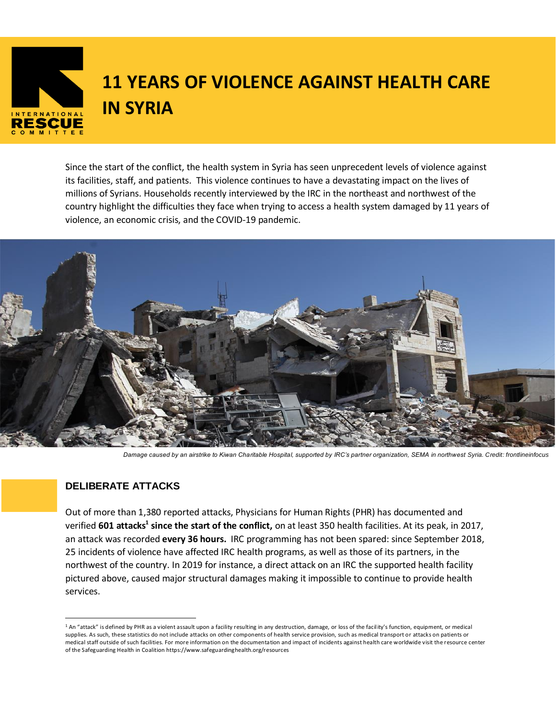

# **11 YEARS OF VIOLENCE AGAINST HEALTH CARE IN SYRIA**

Since the start of the conflict, the health system in Syria has seen unprecedent levels of violence against its facilities, staff, and patients. This violence continues to have a devastating impact on the lives of millions of Syrians. Households recently interviewed by the IRC in the northeast and northwest of the country highlight the difficulties they face when trying to access a health system damaged by 11 years of violence, an economic crisis, and the COVID-19 pandemic.



*Damage caused by an airstrike to Kiwan Charitable Hospital, supported by IRC's partner organization, SEMA in northwest Syria. Credit: frontlineinfocus*

# **DELIBERATE ATTACKS**

**Factsheet**

Out of more than 1,380 reported attacks, Physicians for Human Rights (PHR) has documented and verified **601 attacks<sup>1</sup> since the start of the conflict,** on at least 350 health facilities. At its peak, in 2017, an attack was recorded **every 36 hours.** IRC programming has not been spared: since September 2018, 25 incidents of violence have affected IRC health programs, as well as those of its partners, in the northwest of the country. In 2019 for instance, a direct attack on an IRC the supported health facility pictured above, caused major structural damages making it impossible to continue to provide health services.

<sup>&</sup>lt;sup>1</sup> An "attack" is defined by PHR as a violent assault upon a facility resulting in any destruction, damage, or loss of the facility's function, equipment, or medical supplies. As such, these statistics do not include attacks on other components of health service provision, such as medical transport or attacks on patients or medical staff outside of such facilities. For more information on the documentation and impact of incidents against health care worldwide visit the resource center of the Safeguarding Health in Coalition https://www.safeguardinghealth.org/resources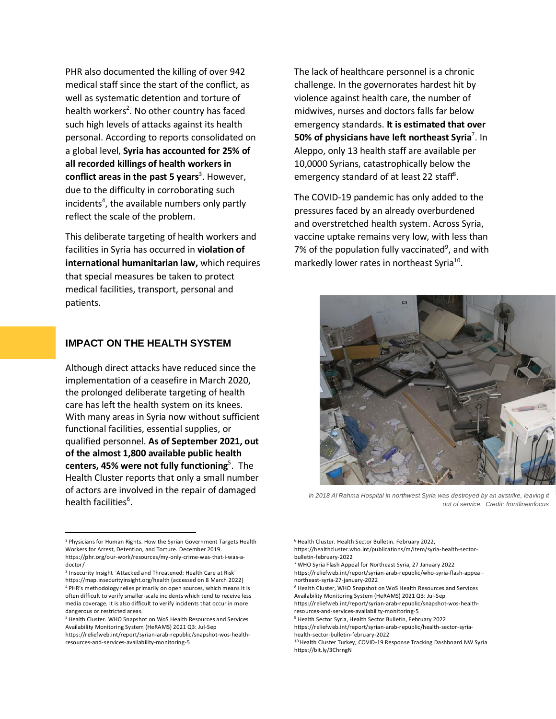PHR also documented the killing of over 942 medical staff since the start of the conflict, as well as systematic detention and torture of health workers<sup>2</sup>. No other country has faced such high levels of attacks against its health personal. According to reports consolidated on a global level, **Syria has accounted for 25% of all recorded killings of health workers in conflict areas in the past 5 years**<sup>3</sup>. However, due to the difficulty in corroborating such incidents<sup>4</sup>, the available numbers only partly reflect the scale of the problem.

This deliberate targeting of health workers and facilities in Syria has occurred in **violation of international humanitarian law,** which requires that special measures be taken to protect medical facilities, transport, personal and patients.

#### **IMPACT ON THE HEALTH SYSTEM**

Although direct attacks have reduced since the implementation of a ceasefire in March 2020, the prolonged deliberate targeting of health care has left the health system on its knees. With many areas in Syria now without sufficient functional facilities, essential supplies, or qualified personnel. **As of September 2021, out of the almost 1,800 available public health centers, 45% were not fully functioning**<sup>5</sup> . The Health Cluster reports that only a small number of actors are involved in the repair of damaged health facilities<sup>6</sup>.

The lack of healthcare personnel is a chronic challenge. In the governorates hardest hit by violence against health care, the number of midwives, nurses and doctors falls far below emergency standards. **It is estimated that over 50% of physicians have left northeast Syria<sup>7</sup>. In** Aleppo, only 13 health staff are available per 10,0000 Syrians, catastrophically below the emergency standard of at least 22 staff<sup>8</sup>.

The COVID-19 pandemic has only added to the pressures faced by an already overburdened and overstretched health system. Across Syria, vaccine uptake remains very low, with less than 7% of the population fully vaccinated<sup>9</sup>, and with markedly lower rates in northeast Syria<sup>10</sup>.



*In 2018 Al Rahma Hospital in northwest Syria was destroyed by an airstrike, leaving it out of service. Credit: frontlineinfocus*

https://healthcluster.who.int/publications/m/item/syria-health-sectorbulletin-february-2022

<sup>2</sup> Physicians for Human Rights. How the Syrian Government Targets Health Workers for Arrest, Detention, and Torture. December 2019. https://phr.org/our-work/resources/my-only-crime-was-that-i-was-adoctor/

<sup>3</sup> Insecurity Insight ¨Attacked and Threatened: Health Care at Risk¨ [https://map.insecurityinsight.org/health](https://urldefense.com/v3/__https:/map.insecurityinsight.org/health__;!!IDEMUsA!VqelZk3t_UyaM6SeRrac-zx-78B-eDmjBVrR8J4TO4KAAEmEl4i4qylzYQvoWxnm$) (accessed on 8 March 2022) <sup>4</sup> PHR's methodology relies primarily on open sources, which means it is often difficult to verify smaller-scale incidents which tend to receive less media coverage. It is also difficult to verify incidents that occur in more dangerous or restricted areas.

<sup>5</sup> Health Cluster. WHO Snapshot on WoS Health Resources and Services Availability Monitoring System (HeRAMS) 2021 Q3: Jul-Sep

https://reliefweb.int/report/syrian-arab-republic/snapshot-wos-healthresources-and-services-availability-monitoring-5

<sup>6</sup> Health Cluster. Health Sector Bulletin. February 2022,

<sup>7</sup> WHO Syria Flash Appeal for Northeast Syria, 27 January 2022

https://reliefweb.int/report/syrian-arab-republic/who-syria-flash-appealnortheast-syria-27-january-2022

<sup>8</sup> Health Cluster, WHO Snapshot on WoS Health Resources and Services Availability Monitoring System (HeRAMS) 2021 Q3: Jul-Sep

https://reliefweb.int/report/syrian-arab-republic/snapshot-wos-healthresources-and-services-availability-monitoring-5

<sup>9</sup> Health Sector Syria, Health Sector Bulletin, February 2022

https://reliefweb.int/report/syrian-arab-republic/health-sector-syriahealth-sector-bulletin-february-2022

<sup>10</sup> Health Cluster Turkey, COVID-19 Response Tracking Dashboard NW Syria

https://bit.ly/3ChrngN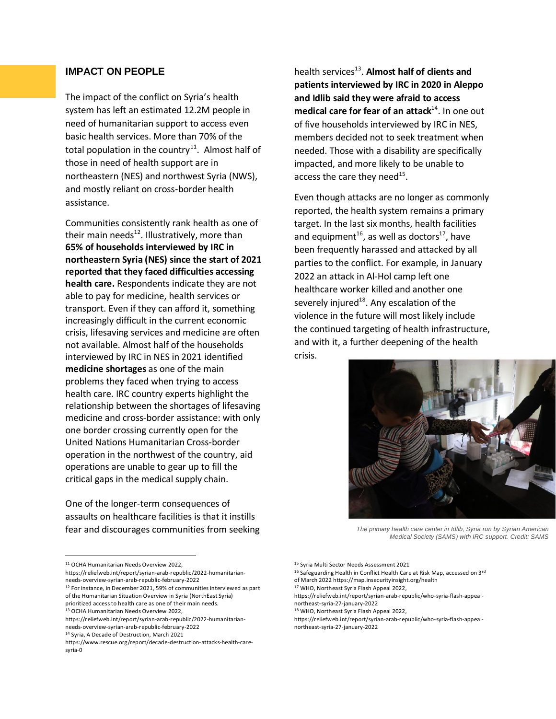# **IMPACT ON PEOPLE**

The impact of the conflict on Syria's health system has left an estimated 12.2M people in need of humanitarian support to access even basic health services. More than 70% of the total population in the country<sup>11</sup>. Almost half of those in need of health support are in northeastern (NES) and northwest Syria (NWS), and mostly reliant on cross-border health assistance.

Communities consistently rank health as one of their main needs<sup>12</sup>. Illustratively, more than **65% of households interviewed by IRC in northeastern Syria (NES) since the start of 2021 reported that they faced difficulties accessing health care.** Respondents indicate they are not able to pay for medicine, health services or transport. Even if they can afford it, something increasingly difficult in the current economic crisis, lifesaving services and medicine are often not available. Almost half of the households interviewed by IRC in NES in 2021 identified **medicine shortages** as one of the main problems they faced when trying to access health care. IRC country experts highlight the relationship between the shortages of lifesaving medicine and cross-border assistance: with only one border crossing currently open for the United Nations Humanitarian Cross-border operation in the northwest of the country, aid operations are unable to gear up to fill the critical gaps in the medical supply chain.

One of the longer-term consequences of assaults on healthcare facilities is that it instills fear and discourages communities from seeking

health services<sup>13</sup>. Almost half of clients and **patients interviewed by IRC in 2020 in Aleppo and Idlib said they were afraid to access**  medical care for fear of an attack<sup>14</sup>. In one out of five households interviewed by IRC in NES, members decided not to seek treatment when needed. Those with a disability are specifically impacted, and more likely to be unable to access the care they need<sup>15</sup>.

Even though attacks are no longer as commonly reported, the health system remains a primary target. In the last six months, health facilities and equipment<sup>16</sup>, as well as doctors<sup>17</sup>, have been frequently harassed and attacked by all parties to the conflict. For example, in January 2022 an attack in Al-Hol camp left one healthcare worker killed and another one severely injured<sup>18</sup>. Any escalation of the violence in the future will most likely include the continued targeting of health infrastructure, and with it, a further deepening of the health crisis.



*The primary health care center in Idlib, Syria run by Syrian American Medical Society (SAMS) with IRC support. Credit: SAMS*

<sup>11</sup> OCHA Humanitarian Needs Overview 2022,

https://reliefweb.int/report/syrian-arab-republic/2022-humanitarianneeds-overview-syrian-arab-republic-february-2022

<sup>&</sup>lt;sup>12</sup> For instance, in December 2021, 59% of communities interviewed as part of the Humanitarian Situation Overview in Syria (NorthEast Syria)

prioritized access to health care as one of their main needs.

<sup>13</sup> OCHA Humanitarian Needs Overview 2022,

https://reliefweb.int/report/syrian-arab-republic/2022-humanitarianneeds-overview-syrian-arab-republic-february-2022

<sup>14</sup> Syria, A Decade of Destruction, March 2021

https://www.rescue.org/report/decade-destruction-attacks-health-caresyria-0

<sup>15</sup> Syria Multi Sector Needs Assessment 2021

<sup>16</sup> Safeguarding Health in Conflict Health Care at Risk Map, accessed on 3rd

of March 2022 https://map.insecurityinsight.org/health

<sup>17</sup> WHO, Northeast Syria Flash Appeal 2022,

https://reliefweb.int/report/syrian-arab-republic/who-syria-flash-appealnortheast-syria-27-january-2022

<sup>18</sup> WHO, Northeast Syria Flash Appeal 2022,

https://reliefweb.int/report/syrian-arab-republic/who-syria-flash-appealnortheast-syria-27-january-2022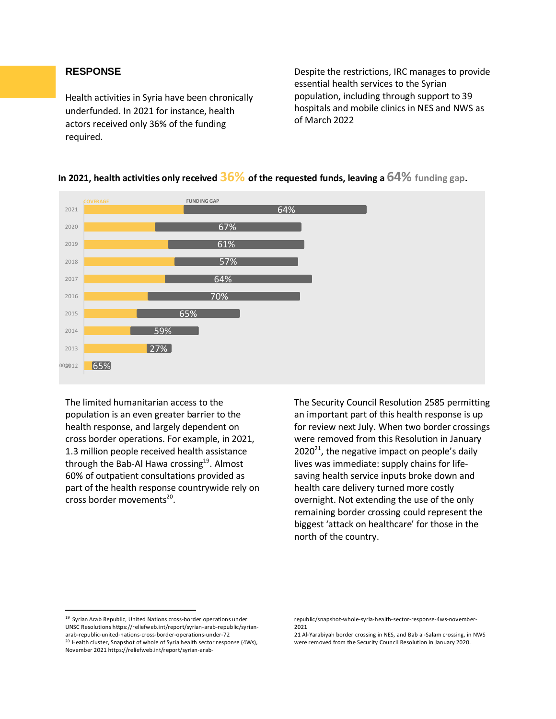## **RESPONSE**

Health activities in Syria have been chronically underfunded. In 2021 for instance, health actors received only 36% of the funding required.

Despite the restrictions, IRC manages to provide essential health services to the Syrian population, including through support to 39 hospitals and mobile clinics in NES and NWS as of March 2022



# **In 2021, health activities only received 36% of the requested funds, leaving a 64% funding gap.**

The limited humanitarian access to the population is an even greater barrier to the health response, and largely dependent on cross border operations. For example, in 2021, 1.3 million people received health assistance through the Bab-Al Hawa crossing $^{19}$ . Almost 60% of outpatient consultations provided as part of the health response countrywide rely on cross border movements<sup>20</sup>.

The Security Council Resolution 2585 permitting an important part of this health response is up for review next July. When two border crossings were removed from this Resolution in January  $2020^{21}$ , the negative impact on people's daily lives was immediate: supply chains for lifesaving health service inputs broke down and health care delivery turned more costly overnight. Not extending the use of the only remaining border crossing could represent the biggest 'attack on healthcare' for those in the north of the country.

<sup>19</sup> Syrian Arab Republic, United Nations cross-border operations under UNSC Resolutions https://reliefweb.int/report/syrian-arab-republic/syrianarab-republic-united-nations-cross-border-operations-under-72 <sup>20</sup> Health cluster, Snapshot of whole of Syria health sector response (4Ws), November 2021 https://reliefweb.int/report/syrian-arab-

republic/snapshot-whole-syria-health-sector-response-4ws-november-2021

<sup>21</sup> Al-Yarabiyah border crossing in NES, and Bab al-Salam crossing, in NWS were removed from the Security Council Resolution in January 2020.